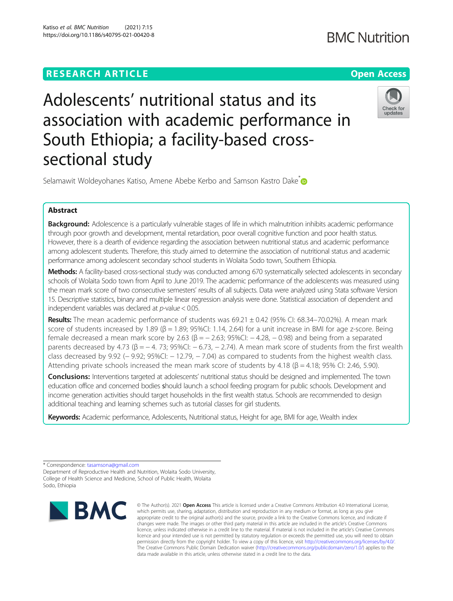Katiso et al. BMC Nutrition (2021) 7:15 https://doi.org/10.1186/s40795-021-00420-8

# Adolescents' nutritional status and its association with academic performance in South Ethiopia; a facility-based crosssectional study



Selamawit Woldeyohanes Katiso, Amene Abebe Kerbo and Samson Kastro Dake<sup>[\\*](http://orcid.org/0000-0002-7687-4674)</sup>

# Abstract

Background: Adolescence is a particularly vulnerable stages of life in which malnutrition inhibits academic performance through poor growth and development, mental retardation, poor overall cognitive function and poor health status. However, there is a dearth of evidence regarding the association between nutritional status and academic performance among adolescent students. Therefore, this study aimed to determine the association of nutritional status and academic performance among adolescent secondary school students in Wolaita Sodo town, Southern Ethiopia.

Methods: A facility-based cross-sectional study was conducted among 670 systematically selected adolescents in secondary schools of Wolaita Sodo town from April to June 2019. The academic performance of the adolescents was measured using the mean mark score of two consecutive semesters' results of all subjects. Data were analyzed using Stata software Version 15. Descriptive statistics, binary and multiple linear regression analysis were done. Statistical association of dependent and independent variables was declared at  $p$ -value  $< 0.05$ .

Results: The mean academic performance of students was 69.21 ± 0.42 (95% CI: 68.34–70.02%). A mean mark score of students increased by 1.89 (β = 1.89; 95%CI: 1.14, 2.64) for a unit increase in BMI for age z-score. Being female decreased a mean mark score by 2.63 ( $\beta$  = − 2.63; 95%CI: − 4.28, − 0.98) and being from a separated parents decreased by 4.73 (β =  $-$  4. 73; 95%CI:  $-$  6.73,  $-$  2.74). A mean mark score of students from the first wealth class decreased by 9.92 (− 9.92; 95%CI: − 12.79, − 7.04) as compared to students from the highest wealth class. Attending private schools increased the mean mark score of students by  $4.18$  ( $\beta$  =  $4.18$ ;  $95\%$  CI: 2.46, 5.90).

Conclusions: Interventions targeted at adolescents' nutritional status should be designed and implemented. The town education office and concerned bodies should launch a school feeding program for public schools. Development and income generation activities should target households in the first wealth status. Schools are recommended to design additional teaching and learning schemes such as tutorial classes for girl students.

Keywords: Academic performance, Adolescents, Nutritional status, Height for age, BMI for age, Wealth index

\* Correspondence: [tasamsona@gmail.com](mailto:tasamsona@gmail.com)

Department of Reproductive Health and Nutrition, Wolaita Sodo University, College of Health Science and Medicine, School of Public Health, Wolaita Sodo, Ethiopia



<sup>©</sup> The Author(s), 2021 **Open Access** This article is licensed under a Creative Commons Attribution 4.0 International License, which permits use, sharing, adaptation, distribution and reproduction in any medium or format, as long as you give appropriate credit to the original author(s) and the source, provide a link to the Creative Commons licence, and indicate if changes were made. The images or other third party material in this article are included in the article's Creative Commons licence, unless indicated otherwise in a credit line to the material. If material is not included in the article's Creative Commons licence and your intended use is not permitted by statutory regulation or exceeds the permitted use, you will need to obtain permission directly from the copyright holder. To view a copy of this licence, visit [http://creativecommons.org/licenses/by/4.0/.](http://creativecommons.org/licenses/by/4.0/) The Creative Commons Public Domain Dedication waiver [\(http://creativecommons.org/publicdomain/zero/1.0/](http://creativecommons.org/publicdomain/zero/1.0/)) applies to the data made available in this article, unless otherwise stated in a credit line to the data.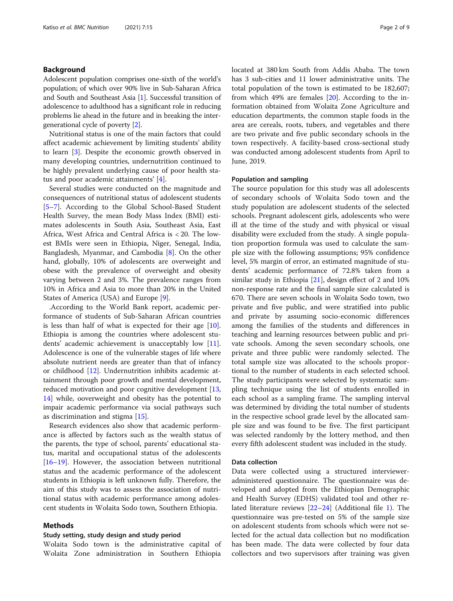# Background

Adolescent population comprises one-sixth of the world's population; of which over 90% live in Sub-Saharan Africa and South and Southeast Asia [\[1](#page-7-0)]. Successful transition of adolescence to adulthood has a significant role in reducing problems lie ahead in the future and in breaking the intergenerational cycle of poverty [[2\]](#page-7-0).

Nutritional status is one of the main factors that could affect academic achievement by limiting students' ability to learn [[3](#page-7-0)]. Despite the economic growth observed in many developing countries, undernutrition continued to be highly prevalent underlying cause of poor health status and poor academic attainments' [[4\]](#page-7-0).

Several studies were conducted on the magnitude and consequences of nutritional status of adolescent students [[5](#page-7-0)–[7\]](#page-7-0). According to the Global School-Based Student Health Survey, the mean Body Mass Index (BMI) estimates adolescents in South Asia, Southeast Asia, East Africa, West Africa and Central Africa is < 20. The lowest BMIs were seen in Ethiopia, Niger, Senegal, India, Bangladesh, Myanmar, and Cambodia [\[8](#page-7-0)]. On the other hand, globally, 10% of adolescents are overweight and obese with the prevalence of overweight and obesity varying between 2 and 3%. The prevalence ranges from 10% in Africa and Asia to more than 20% in the United States of America (USA) and Europe [[9\]](#page-7-0).

.According to the World Bank report, academic performance of students of Sub-Saharan African countries is less than half of what is expected for their age [\[10](#page-7-0)]. Ethiopia is among the countries where adolescent students' academic achievement is unacceptably low [\[11](#page-7-0)]. Adolescence is one of the vulnerable stages of life where absolute nutrient needs are greater than that of infancy or childhood [[12](#page-7-0)]. Undernutrition inhibits academic attainment through poor growth and mental development, reduced motivation and poor cognitive development [[13](#page-7-0), [14\]](#page-7-0) while, ooverweight and obesity has the potential to impair academic performance via social pathways such as discrimination and stigma [[15](#page-7-0)].

Research evidences also show that academic performance is affected by factors such as the wealth status of the parents, the type of school, parents' educational status, marital and occupational status of the adolescents [[16](#page-7-0)–[19](#page-7-0)]. However, the association between nutritional status and the academic performance of the adolescent students in Ethiopia is left unknown fully. Therefore, the aim of this study was to assess the association of nutritional status with academic performance among adolescent students in Wolaita Sodo town, Southern Ethiopia.

# Methods

# Study setting, study design and study period

Wolaita Sodo town is the administrative capital of Wolaita Zone administration in Southern Ethiopia located at 380 km South from Addis Ababa. The town has 3 sub-cities and 11 lower administrative units. The total population of the town is estimated to be 182,607; from which 49% are females [\[20\]](#page-7-0). According to the information obtained from Wolaita Zone Agriculture and education departments, the common staple foods in the area are cereals, roots, tubers, and vegetables and there are two private and five public secondary schools in the town respectively. A facility-based cross-sectional study was conducted among adolescent students from April to June, 2019.

#### Population and sampling

The source population for this study was all adolescents of secondary schools of Wolaita Sodo town and the study population are adolescent students of the selected schools. Pregnant adolescent girls, adolescents who were ill at the time of the study and with physical or visual disability were excluded from the study. A single population proportion formula was used to calculate the sample size with the following assumptions; 95% confidence level, 5% margin of error, an estimated magnitude of students' academic performance of 72.8% taken from a similar study in Ethiopia  $[21]$  $[21]$ , design effect of 2 and 10% non-response rate and the final sample size calculated is 670. There are seven schools in Wolaita Sodo town, two private and five public, and were stratified into public and private by assuming socio-economic differences among the families of the students and differences in teaching and learning resources between public and private schools. Among the seven secondary schools, one private and three public were randomly selected. The total sample size was allocated to the schools proportional to the number of students in each selected school. The study participants were selected by systematic sampling technique using the list of students enrolled in each school as a sampling frame. The sampling interval was determined by dividing the total number of students in the respective school grade level by the allocated sample size and was found to be five. The first participant was selected randomly by the lottery method, and then every fifth adolescent student was included in the study.

#### Data collection

Data were collected using a structured intervieweradministered questionnaire. The questionnaire was developed and adopted from the Ethiopian Demographic and Health Survey (EDHS) validated tool and other related literature reviews [[22](#page-8-0)–[24](#page-8-0)] (Additional file [1\)](#page-7-0). The questionnaire was pre-tested on 5% of the sample size on adolescent students from schools which were not selected for the actual data collection but no modification has been made. The data were collected by four data collectors and two supervisors after training was given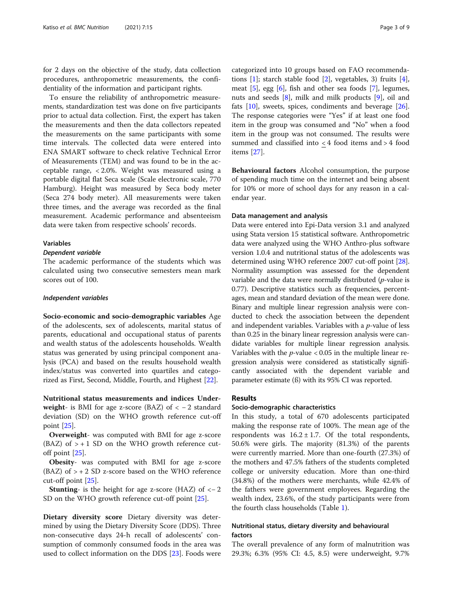for 2 days on the objective of the study, data collection procedures, anthropometric measurements, the confidentiality of the information and participant rights.

To ensure the reliability of anthropometric measurements, standardization test was done on five participants prior to actual data collection. First, the expert has taken the measurements and then the data collectors repeated the measurements on the same participants with some time intervals. The collected data were entered into ENA SMART software to check relative Technical Error of Measurements (TEM) and was found to be in the acceptable range, < 2.0%. Weight was measured using a portable digital flat Seca scale (Scale electronic scale, 770 Hamburg). Height was measured by Seca body meter (Seca 274 body meter). All measurements were taken three times, and the average was recorded as the final measurement. Academic performance and absenteeism data were taken from respective schools' records.

# **Variables**

# Dependent variable

The academic performance of the students which was calculated using two consecutive semesters mean mark scores out of 100.

# Independent variables

Socio-economic and socio-demographic variables Age of the adolescents, sex of adolescents, marital status of parents, educational and occupational status of parents and wealth status of the adolescents households. Wealth status was generated by using principal component analysis (PCA) and based on the results household wealth index/status was converted into quartiles and categorized as First, Second, Middle, Fourth, and Highest [\[22](#page-8-0)].

Nutritional status measurements and indices Underweight- is BMI for age z-score (BAZ) of  $<-2$  standard deviation (SD) on the WHO growth reference cut-off point [\[25](#page-8-0)].

Overweight- was computed with BMI for age z-score (BAZ) of  $> + 1$  SD on the WHO growth reference cutoff point [\[25\]](#page-8-0).

Obesity- was computed with BMI for age z-score (BAZ) of  $> + 2$  SD z-score based on the WHO reference cut-off point [[25](#page-8-0)].

**Stunting-** is the height for age z-score (HAZ) of  $<-2$ SD on the WHO growth reference cut-off point [\[25](#page-8-0)].

Dietary diversity score Dietary diversity was determined by using the Dietary Diversity Score (DDS). Three non-consecutive days 24-h recall of adolescents' consumption of commonly consumed foods in the area was used to collect information on the DDS [[23\]](#page-8-0). Foods were categorized into 10 groups based on FAO recommendations  $[1]$  $[1]$ ; starch stable food  $[2]$  $[2]$ , vegetables, 3) fruits  $[4]$  $[4]$ , meat [[5\]](#page-7-0), egg [[6\]](#page-7-0), fish and other sea foods [\[7\]](#page-7-0), legumes, nuts and seeds [\[8](#page-7-0)], milk and milk products [\[9\]](#page-7-0), oil and fats [\[10](#page-7-0)], sweets, spices, condiments and beverage [\[26](#page-8-0)]. The response categories were "Yes" if at least one food item in the group was consumed and "No" when a food item in the group was not consumed. The results were summed and classified into < 4 food items and > 4 food items [[27\]](#page-8-0).

Behavioural factors Alcohol consumption, the purpose of spending much time on the internet and being absent for 10% or more of school days for any reason in a calendar year.

# Data management and analysis

Data were entered into Epi-Data version 3.1 and analyzed using Stata version 15 statistical software. Anthropometric data were analyzed using the WHO Anthro-plus software version 1.0.4 and nutritional status of the adolescents was determined using WHO reference 2007 cut-off point [[28](#page-8-0)]. Normality assumption was assessed for the dependent variable and the data were normally distributed  $(p$ -value is 0.77). Descriptive statistics such as frequencies, percentages, mean and standard deviation of the mean were done. Binary and multiple linear regression analysis were conducted to check the association between the dependent and independent variables. Variables with a  $p$ -value of less than 0.25 in the binary linear regression analysis were candidate variables for multiple linear regression analysis. Variables with the  $p$ -value < 0.05 in the multiple linear regression analysis were considered as statistically significantly associated with the dependent variable and parameter estimate (ß) with its 95% CI was reported.

# Results

# Socio-demographic characteristics

In this study, a total of 670 adolescents participated making the response rate of 100%. The mean age of the respondents was  $16.2 \pm 1.7$ . Of the total respondents, 50.6% were girls. The majority (81.3%) of the parents were currently married. More than one-fourth (27.3%) of the mothers and 47.5% fathers of the students completed college or university education. More than one-third (34.8%) of the mothers were merchants, while 42.4% of the fathers were government employees. Regarding the wealth index, 23.6%, of the study participants were from the fourth class households (Table [1\)](#page-3-0).

# Nutritional status, dietary diversity and behavioural factors

The overall prevalence of any form of malnutrition was 29.3%; 6.3% (95% CI: 4.5, 8.5) were underweight, 9.7%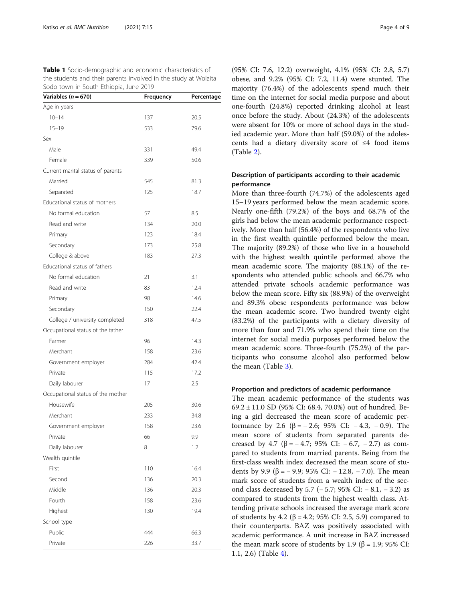<span id="page-3-0"></span>Table 1 Socio-demographic and economic characteristics of the students and their parents involved in the study at Wolaita Sodo town in South Ethiopia, June 2019

| Variables ( $n = 670$ )           | Frequency | Percentage |
|-----------------------------------|-----------|------------|
| Age in years                      |           |            |
| $10 - 14$                         | 137       | 20.5       |
| $15 - 19$                         | 533       | 79.6       |
| Sex                               |           |            |
| Male                              | 331       | 49.4       |
| Female                            | 339       | 50.6       |
| Current marital status of parents |           |            |
| Married                           | 545       | 81.3       |
| Separated                         | 125       | 18.7       |
| Educational status of mothers     |           |            |
| No formal education               | 57        | 8.5        |
| Read and write                    | 134       | 20.0       |
| Primary                           | 123       | 18.4       |
| Secondary                         | 173       | 25.8       |
| College & above                   | 183       | 27.3       |
| Educational status of fathers     |           |            |
| No formal education               | 21        | 3.1        |
| Read and write                    | 83        | 12.4       |
| Primary                           | 98        | 14.6       |
| Secondary                         | 150       | 22.4       |
| College / university completed    | 318       | 47.5       |
| Occupational status of the father |           |            |
| Farmer                            | 96        | 14.3       |
| Merchant                          | 158       | 23.6       |
| Government employer               | 284       | 42.4       |
| Private                           | 115       | 17.2       |
| Daily labourer                    | 17        | 2.5        |
| Occupational status of the mother |           |            |
| Housewife                         | 205       | 30.6       |
| Merchant                          | 233       | 34.8       |
| Government employer               | 158       | 23.6       |
| Private                           | 66        | 9.9        |
| Daily labourer                    | 8         | 1.2        |
| Wealth quintile                   |           |            |
| First                             | 110       | 16.4       |
| Second                            | 136       | 20.3       |
| Middle                            | 136       | 20.3       |
| Fourth                            | 158       | 23.6       |
| Highest                           | 130       | 19.4       |
| School type                       |           |            |
| Public                            | 444       | 66.3       |
| Private                           | 226       | 33.7       |

(95% CI: 7.6, 12.2) overweight, 4.1% (95% CI: 2.8, 5.7) obese, and 9.2% (95% CI: 7.2, 11.4) were stunted. The majority (76.4%) of the adolescents spend much their time on the internet for social media purpose and about one-fourth (24.8%) reported drinking alcohol at least once before the study. About (24.3%) of the adolescents were absent for 10% or more of school days in the studied academic year. More than half (59.0%) of the adolescents had a dietary diversity score of ≤4 food items (Table [2\)](#page-4-0).

# Description of participants according to their academic performance

More than three-fourth (74.7%) of the adolescents aged 15–19 years performed below the mean academic score. Nearly one-fifth (79.2%) of the boys and 68.7% of the girls had below the mean academic performance respectively. More than half (56.4%) of the respondents who live in the first wealth quintile performed below the mean. The majority (89.2%) of those who live in a household with the highest wealth quintile performed above the mean academic score. The majority (88.1%) of the respondents who attended public schools and 66.7% who attended private schools academic performance was below the mean score. Fifty six (88.9%) of the overweight and 89.3% obese respondents performance was below the mean academic score. Two hundred twenty eight (83.2%) of the participants with a dietary diversity of more than four and 71.9% who spend their time on the internet for social media purposes performed below the mean academic score. Three-fourth (75.2%) of the participants who consume alcohol also performed below the mean (Table [3\)](#page-5-0).

# Proportion and predictors of academic performance

The mean academic performance of the students was 69.2 ± 11.0 SD (95% CI: 68.4, 70.0%) out of hundred. Being a girl decreased the mean score of academic performance by 2.6 (β =  $-$  2.6; 95% CI:  $-$  4.3,  $-$  0.9). The mean score of students from separated parents decreased by 4.7 ( $\beta$  = − 4.7; 95% CI: − 6.7, − 2.7) as compared to students from married parents. Being from the first-class wealth index decreased the mean score of students by 9.9 (β = − 9.9; 95% CI: − 12.8, − 7.0). The mean mark score of students from a wealth index of the second class decreased by 5.7 (− 5.7; 95% CI: − 8.1, − 3.2) as compared to students from the highest wealth class. Attending private schools increased the average mark score of students by 4.2 (β = 4.2; 95% CI: 2.5, 5.9) compared to their counterparts. BAZ was positively associated with academic performance. A unit increase in BAZ increased the mean mark score of students by 1.9 (β = 1.9; 95% CI: 1.1, 2.6) (Table [4\)](#page-6-0).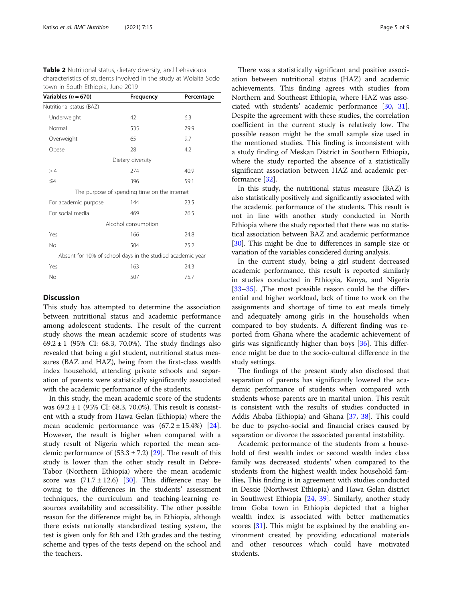<span id="page-4-0"></span>Table 2 Nutritional status, dietary diversity, and behavioural characteristics of students involved in the study at Wolaita Sodo town in South Ethiopia, June 2019

| Variables (n = 670)                                        | Frequency                                    | Percentage |
|------------------------------------------------------------|----------------------------------------------|------------|
| Nutritional status (BAZ)                                   |                                              |            |
| Underweight                                                | 42                                           | 6.3        |
| Normal                                                     | 535                                          | 79.9       |
| Overweight                                                 | 65                                           | 9.7        |
| Obese                                                      | 28                                           | 4.2        |
|                                                            | Dietary diversity                            |            |
| >4                                                         | 274                                          | 40.9       |
| $\leq 4$                                                   | 396                                          | 59.1       |
|                                                            | The purpose of spending time on the internet |            |
| For academic purpose                                       | 144                                          | 23.5       |
| For social media                                           | 469                                          | 76.5       |
|                                                            | Alcohol consumption                          |            |
| Yes                                                        | 166                                          | 24.8       |
| No                                                         | 504                                          | 75.2       |
| Absent for 10% of school days in the studied academic year |                                              |            |
| Yes                                                        | 163                                          | 24.3       |
| No                                                         | 507                                          | 75.7       |

# **Discussion**

This study has attempted to determine the association between nutritional status and academic performance among adolescent students. The result of the current study shows the mean academic score of students was 69.2 ± 1 (95% CI: 68.3, 70.0%). The study findings also revealed that being a girl student, nutritional status measures (BAZ and HAZ), being from the first-class wealth index household, attending private schools and separation of parents were statistically significantly associated with the academic performance of the students.

In this study, the mean academic score of the students was 69.2 ± 1 (95% CI: 68.3, 70.0%). This result is consistent with a study from Hawa Gelan (Ethiopia) where the mean academic performance was  $(67.2 \pm 15.4\%)$  [\[24](#page-8-0)]. However, the result is higher when compared with a study result of Nigeria which reported the mean academic performance of  $(53.3 \pm 7.2)$  [\[29](#page-8-0)]. The result of this study is lower than the other study result in Debre-Tabor (Northern Ethiopia) where the mean academic score was  $(71.7 \pm 12.6)$  [\[30\]](#page-8-0). This difference may be owing to the differences in the students' assessment techniques, the curriculum and teaching-learning resources availability and accessibility. The other possible reason for the difference might be, in Ethiopia, although there exists nationally standardized testing system, the test is given only for 8th and 12th grades and the testing scheme and types of the tests depend on the school and the teachers.

There was a statistically significant and positive association between nutritional status (HAZ) and academic achievements. This finding agrees with studies from Northern and Southeast Ethiopia, where HAZ was associated with students' academic performance [[30](#page-8-0), [31](#page-8-0)]. Despite the agreement with these studies, the correlation coefficient in the current study is relatively low. The possible reason might be the small sample size used in the mentioned studies. This finding is inconsistent with a study finding of Meskan District in Southern Ethiopia, where the study reported the absence of a statistically significant association between HAZ and academic performance [\[32](#page-8-0)].

In this study, the nutritional status measure (BAZ) is also statistically positively and significantly associated with the academic performance of the students. This result is not in line with another study conducted in North Ethiopia where the study reported that there was no statistical association between BAZ and academic performance [[30](#page-8-0)]. This might be due to differences in sample size or variation of the variables considered during analysis.

In the current study, being a girl student decreased academic performance, this result is reported similarly in studies conducted in Ethiopia, Kenya, and Nigeria [[33](#page-8-0)–[35](#page-8-0)]. The most possible reason could be the differential and higher workload, lack of time to work on the assignments and shortage of time to eat meals timely and adequately among girls in the households when compared to boy students. A different finding was reported from Ghana where the academic achievement of girls was significantly higher than boys [[36\]](#page-8-0). This difference might be due to the socio-cultural difference in the study settings.

The findings of the present study also disclosed that separation of parents has significantly lowered the academic performance of students when compared with students whose parents are in marital union. This result is consistent with the results of studies conducted in Addis Ababa (Ethiopia) and Ghana [\[37,](#page-8-0) [38\]](#page-8-0). This could be due to psycho-social and financial crises caused by separation or divorce the associated parental instability.

Academic performance of the students from a household of first wealth index or second wealth index class family was decreased students' when compared to the students from the highest wealth index household families, This finding is in agreement with studies conducted in Dessie (Northwest Ethiopia) and Hawa Gelan district in Southwest Ethiopia [[24,](#page-8-0) [39\]](#page-8-0). Similarly, another study from Goba town in Ethiopia depicted that a higher wealth index is associated with better mathematics scores [\[31](#page-8-0)]. This might be explained by the enabling environment created by providing educational materials and other resources which could have motivated students.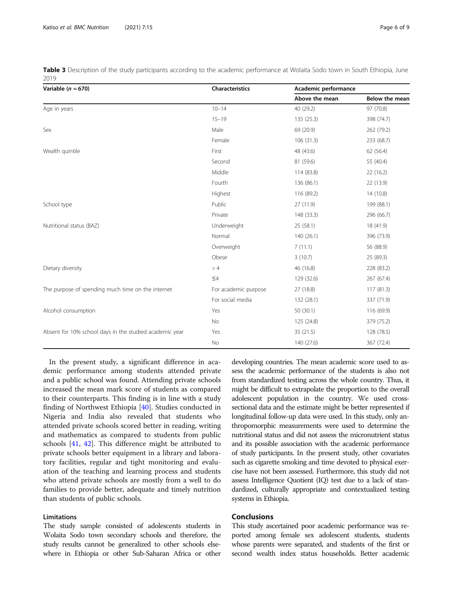<span id="page-5-0"></span>Table 3 Description of the study participants according to the academic performance at Wolaita Sodo town in South Ethiopia, June 2019

| Variable ( $n = 670$ )                                  | Characteristics      | Academic performance |                       |
|---------------------------------------------------------|----------------------|----------------------|-----------------------|
|                                                         |                      | Above the mean       | <b>Below the mean</b> |
| Age in years                                            | $10 - 14$            | 40 (29.2)            | 97 (70.8)             |
|                                                         | $15 - 19$            | 135 (25.3)           | 398 (74.7)            |
| Sex                                                     | Male                 | 69 (20.9)            | 262 (79.2)            |
|                                                         | Female               | 106(31.3)            | 233 (68.7)            |
| Wealth quintile                                         | First                | 48 (43.6)            | 62 (56.4)             |
|                                                         | Second               | 81 (59.6)            | 55 (40.4)             |
|                                                         | Middle               | 114 (83.8)           | 22(16.2)              |
|                                                         | Fourth               | 136 (86.1)           | 22 (13.9)             |
|                                                         | Highest              | 116 (89.2)           | 14(10.8)              |
| School type                                             | Public               | 27 (11.9)            | 199 (88.1)            |
|                                                         | Private              | 148 (33.3)           | 296 (66.7)            |
| Nutritional status (BAZ)                                | Underweight          | 25 (58.1)            | 18 (41.9)             |
|                                                         | Normal               | 140 (26.1)           | 396 (73.9)            |
|                                                         | Overweight           | 7(11.1)              | 56 (88.9)             |
|                                                         | Obese                | 3(10.7)              | 25 (89.3)             |
| Dietary diversity                                       | >4                   | 46 (16.8)            | 228 (83.2)            |
|                                                         | $\leq 4$             | 129 (32.6)           | 267 (67.4)            |
| The purpose of spending much time on the internet       | For academic purpose | 27 (18.8)            | 117(81.3)             |
|                                                         | For social media     | 132 (28.1)           | 337 (71.9)            |
| Alcohol consumption                                     | Yes                  | 50 (30.1)            | 116 (69.9)            |
|                                                         | <b>No</b>            | 125 (24.8)           | 379 (75.2)            |
| Absent for 10% school days in the studied academic year | Yes                  | 35 (21.5)            | 128 (78.5)            |
|                                                         | No                   | 140 (27.6)           | 367 (72.4)            |

In the present study, a significant difference in academic performance among students attended private and a public school was found. Attending private schools increased the mean mark score of students as compared to their counterparts. This finding is in line with a study finding of Northwest Ethiopia [[40\]](#page-8-0). Studies conducted in Nigeria and India also revealed that students who attended private schools scored better in reading, writing and mathematics as compared to students from public schools [\[41,](#page-8-0) [42](#page-8-0)]. This difference might be attributed to private schools better equipment in a library and laboratory facilities, regular and tight monitoring and evaluation of the teaching and learning process and students who attend private schools are mostly from a well to do families to provide better, adequate and timely nutrition than students of public schools.

# Limitations

The study sample consisted of adolescents students in Wolaita Sodo town secondary schools and therefore, the study results cannot be generalized to other schools elsewhere in Ethiopia or other Sub-Saharan Africa or other

developing countries. The mean academic score used to assess the academic performance of the students is also not from standardized testing across the whole country. Thus, it might be difficult to extrapolate the proportion to the overall adolescent population in the country. We used crosssectional data and the estimate might be better represented if longitudinal follow-up data were used. In this study, only anthropomorphic measurements were used to determine the nutritional status and did not assess the micronutrient status and its possible association with the academic performance of study participants. In the present study, other covariates such as cigarette smoking and time devoted to physical exercise have not been assessed. Furthermore, this study did not assess Intelligence Quotient (IQ) test due to a lack of standardized, culturally appropriate and contextualized testing systems in Ethiopia.

# **Conclusions**

This study ascertained poor academic performance was reported among female sex adolescent students, students whose parents were separated, and students of the first or second wealth index status households. Better academic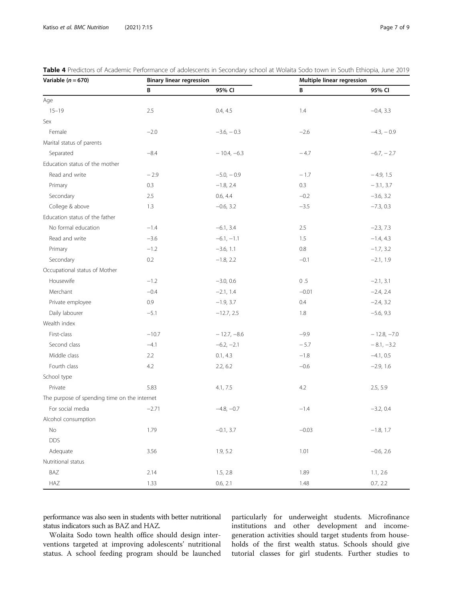| Variable $(n = 670)$                         |         | <b>Binary linear regression</b> |         | Multiple linear regression |  |
|----------------------------------------------|---------|---------------------------------|---------|----------------------------|--|
|                                              | В       | 95% CI                          | B       | 95% CI                     |  |
| Age                                          |         |                                 |         |                            |  |
| $15 - 19$                                    | 2.5     | 0.4, 4.5                        | 1.4     | $-0.4, 3.3$                |  |
| Sex                                          |         |                                 |         |                            |  |
| Female                                       | $-2.0$  | $-3.6, -0.3$                    | $-2.6$  | $-4.3, -0.9$               |  |
| Marital status of parents                    |         |                                 |         |                            |  |
| Separated                                    | $-8.4$  | $-10.4, -6.3$                   | $-4.7$  | $-6.7, -2.7$               |  |
| Education status of the mother               |         |                                 |         |                            |  |
| Read and write                               | $-2.9$  | $-5.0, -0.9$                    | $-1.7$  | $-4.9, 1.5$                |  |
| Primary                                      | 0.3     | $-1.8, 2.4$                     | 0.3     | $-3.1, 3.7$                |  |
| Secondary                                    | 2.5     | 0.6, 4.4                        | $-0.2$  | $-3.6, 3.2$                |  |
| College & above                              | 1.3     | $-0.6, 3.2$                     | $-3.5$  | $-7.3, 0.3$                |  |
| Education status of the father               |         |                                 |         |                            |  |
| No formal education                          | $-1.4$  | $-6.1, 3.4$                     | 2.5     | $-2.3, 7.3$                |  |
| Read and write                               | $-3.6$  | $-6.1, -1.1$                    | 1.5     | $-1.4, 4.3$                |  |
| Primary                                      | $-1.2$  | $-3.6, 1.1$                     | 0.8     | $-1.7, 3.2$                |  |
| Secondary                                    | 0.2     | $-1.8, 2.2$                     | $-0.1$  | $-2.1, 1.9$                |  |
| Occupational status of Mother                |         |                                 |         |                            |  |
| Housewife                                    | $-1.2$  | $-3.0, 0.6$                     | 0.5     | $-2.1, 3.1$                |  |
| Merchant                                     | $-0.4$  | $-2.1, 1.4$                     | $-0.01$ | $-2.4, 2.4$                |  |
| Private employee                             | 0.9     | $-1.9, 3.7$                     | 0.4     | $-2.4, 3.2$                |  |
| Daily labourer                               | $-5.1$  | $-12.7, 2.5$                    | 1.8     | $-5.6, 9.3$                |  |
| Wealth index                                 |         |                                 |         |                            |  |
| First-class                                  | $-10.7$ | $-12.7, -8.6$                   | $-9.9$  | $-12.8, -7.0$              |  |
| Second class                                 | $-4.1$  | $-6.2, -2.1$                    | $-5.7$  | $-8.1, -3.2$               |  |
| Middle class                                 | 2.2     | 0.1, 4.3                        | $-1.8$  | $-4.1, 0.5$                |  |
| Fourth class                                 | 4.2     | 2.2, 6.2                        | $-0.6$  | $-2.9, 1.6$                |  |
| School type                                  |         |                                 |         |                            |  |
| Private                                      | 5.83    | 4.1, 7.5                        | 4.2     | 2.5, 5.9                   |  |
| The purpose of spending time on the internet |         |                                 |         |                            |  |
| For social media                             | $-2.71$ | $-4.8, -0.7$                    | $-1.4$  | $-3.2, 0.4$                |  |
| Alcohol consumption                          |         |                                 |         |                            |  |
| No                                           | 1.79    | $-0.1, 3.7$                     | $-0.03$ | $-1.8, 1.7$                |  |
| <b>DDS</b>                                   |         |                                 |         |                            |  |
| Adequate                                     | 3.56    | 1.9, 5.2                        | 1.01    | $-0.6, 2.6$                |  |
| Nutritional status                           |         |                                 |         |                            |  |
| BAZ                                          | 2.14    | 1.5, 2.8                        | 1.89    | 1.1, 2.6                   |  |
| HAZ                                          | 1.33    | 0.6, 2.1                        | 1.48    | 0.7, 2.2                   |  |

<span id="page-6-0"></span>Table 4 Predictors of Academic Performance of adolescents in Secondary school at Wolaita Sodo town in South Ethiopia, June 2019

performance was also seen in students with better nutritional status indicators such as BAZ and HAZ.

Wolaita Sodo town health office should design interventions targeted at improving adolescents' nutritional status. A school feeding program should be launched

particularly for underweight students. Microfinance institutions and other development and incomegeneration activities should target students from households of the first wealth status. Schools should give tutorial classes for girl students. Further studies to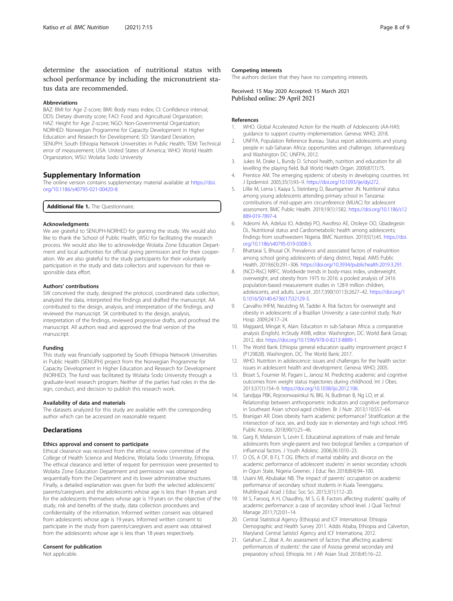<span id="page-7-0"></span>determine the association of nutritional status with school performance by including the micronutrient status data are recommended.

# Abbreviations

BAZ: BMI for Age Z-score; BMI: Body mass index; CI: Confidence interval; DDS: Dietary diversity score; FAO: Food and Agricultural Organization; HAZ: Height for Age Z-score; NGO: Non-Governmental Organization; NORHED: Norwegian Programme for Capacity Development in Higher Education and Research for Development; SD: Standard Deviation; SENUPH: South Ethiopia Network Universities in Public Health; TEM: Technical error of measurement; USA: United States of America; WHO: World Health Organization; WSU: Wolaita Sodo University

### Supplementary Information

The online version contains supplementary material available at [https://doi.](https://doi.org/10.1186/s40795-021-00420-8) [org/10.1186/s40795-021-00420-8.](https://doi.org/10.1186/s40795-021-00420-8)

Additional file 1. The Questionnaire.

#### Acknowledgments

We are grateful to SENUPH-NORHED for granting the study. We would also like to thank the School of Public Health, WSU for facilitating the research process. We would also like to acknowledge Wolaita Zone Education Department and local authorities for official giving permission and for their cooperation. We are also grateful to the study participants for their voluntarily participation in the study and data collectors and supervisors for their responsible data effort.

#### Authors' contributions

SW conceived the study, designed the protocol, coordinated data collection, analyzed the data, interpreted the findings and drafted the manuscript. AA contributed to the design, analysis, and interpretation of the findings, and reviewed the manuscript. SK contributed to the design, analysis, interpretation of the findings, reviewed progressive drafts, and proofread the manuscript. All authors read and approved the final version of the manuscript.

# Funding

This study was financially supported by South Ethiopia Network Universities in Public Health (SENUPH) project from the Norwegian Programme for Capacity Development in Higher Education and Research for Development (NORHED). The fund was facilitated by Wolaita Sodo University through a graduate-level research program. Neither of the parties had roles in the design, conduct, and decision to publish this research work.

#### Availability of data and materials

The datasets analyzed for this study are available with the corresponding author which can be accessed on reasonable request.

# **Declarations**

#### Ethics approval and consent to participate

Ethical clearance was received from the ethical review committee of the College of Health Science and Medicine, Wolaita Sodo University, Ethiopia. The ethical clearance and letter of request for permission were presented to Wolaita Zone Education Department and permission was obtained sequentially from the Department and its lower administrative structures. Finally, a detailed explanation was given for both the selected adolescents' parents/caregivers and the adolescents whose age is less than 18 years and for the adolescents themselves whose age is 19 years on the objective of the study, risk and benefits of the study, data collection procedures and confidentiality of the information. Informed written consent was obtained from adolescents whose age is 19 years. Informed written consent to participate in the study from parents/caregivers and assent was obtained from the adolescents whose age is less than 18 years respectively.

# Consent for publication

Not applicable.

# Competing interests

The authors declare that they have no competing interests.

Received: 15 May 2020 Accepted: 15 March 2021 Published online: 29 April 2021

#### References

- 1. WHO. Global Accelerated Action for the Health of Adolescents (AA-HA!): guidance to support country implementation. Geneva: WHO; 2018.
- 2. UNFPA, Population Reference Bureau. Status report adolescents and young people in sub-Saharan Africa: opportunities and challenges. Johannesburg and Washington DC: UNFPA; 2012.
- 3. Jukes M, Drake L, Bundy D. School health, nutrition and education for all: levelling the playing field. Bull World Health Organ. 2009;87(1):75.
- 4. Prentice AM. The emerging epidemic of obesity in developing countries. Int J Epidemiol. 2005;35(1):93–9. [https://doi.org/10.1093/ije/dyi272.](https://doi.org/10.1093/ije/dyi272)
- 5. Lillie M, Lema I, Kaaya S, Steinberg D, Baumgartner JN. Nutritional status among young adolescents attending primary school in Tanzania: contributions of mid-upper arm circumference (MUAC) for adolescent assessment. BMC Public Health. 2019;19(1):1582. [https://doi.org/10.1186/s12](https://doi.org/10.1186/s12889-019-7897-4) [889-019-7897-4.](https://doi.org/10.1186/s12889-019-7897-4)
- 6. Adeomi AA, Adelusi IO, Adedeji PO, Awofeso AE, Oroleye OO, Gbadegesin DL. Nutritional status and Cardiometabolic health among adolescents; findings from southwestern Nigeria. BMC Nutrition. 2019;5(1):45. [https://doi.](https://doi.org/10.1186/s40795-019-0308-5) [org/10.1186/s40795-019-0308-5](https://doi.org/10.1186/s40795-019-0308-5).
- 7. Bhattarai S, Bhusal CK. Prevalence and associated factors of malnutrition among school going adolescents of dang district, Nepal. AIMS Public Health. 2019;6(3):291–306. [https://doi.org/10.3934/publichealth.2019.3.291.](https://doi.org/10.3934/publichealth.2019.3.291)
- 8. (NCD-RisC) NRFC. Worldwide trends in body-mass index, underweight, overweight, and obesity from 1975 to 2016: a pooled analysis of 2416 population-based measurement studies in 128·9 million children, adolescents, and adults. Lancet. 2017;390(10113):2627–42. [https://doi.org/1](https://doi.org/10.1016/S0140-6736(17)32129-3) [0.1016/S0140-6736\(17\)32129-3](https://doi.org/10.1016/S0140-6736(17)32129-3).
- 9. Carvalho IHFM, Neutzling M, Taddei A. Risk factors for overweight and obesity in adolescents of a Brazilian University: a case-control study. Nutr Hosp. 2009;24:17–24.
- 10. Majgaard, Mingat K, Alain. Education in sub-Saharan Africa: a comparative analysis (English). In:Study AWB, editor. Washington, DC: World Bank Group; 2012, doi: <https://doi.org/10.1596/978-0-8213-8889-1>.
- 11. The World Bank. Ethiopia general education quality improvement project II (P129828). Washington, DC: The World Bank; 2017.
- 12. WHO. Nutrition in adolescence: issues and challenges for the health sector: issues in adolescent health and development. Geneva: WHO; 2005.
- 13. Bisset S, Fournier M, Pagani L, Janosz M. Predicting academic and cognitive outcomes from weight status trajectories during childhood. Int J Obes. 2013;37(1):154–9. <https://doi.org/10.1038/ijo.2012.106>.
- 14. Sandjaja PBK, Rojroonwasinkul N, BKL N, Budiman B, Ng LO, et al. Relationship between anthropometric indicators and cognitive performance in Southeast Asian school-aged children. Br J Nutr. 2013;110:S57–64.
- 15. Branigan AR. Does obesity harm academic performance? Stratification at the intersection of race, sex, and body size in elementary and high school. HHS Public Access. 2018;90(1):25–46.
- 16. Garg R, Melanson S, Levin E. Educational aspirations of male and female adolescents from single-parent and two biological families: a comparison of influencial factors. J Youth Adolesc. 2006;36:1010–23.
- 17. O OS, A OF, B FJ, T OG. Effects of marital stability and divorce on the academic performance of adolescent students' in senior secondary schools in Ogun State, Nigeria Greener, J Educ Res 2018;8(4):94–100.
- 18. Usaini MI, Abubakar NB. The impact of parents' occupation on academic performance of secondary school students in Kuala Terengganu. Multilingual Acad J Educ Soc Sci. 2015;3(1):112–20.
- 19. M S, Farooq, A H, Chaudhry, M S, G B. Factors affecting students' quality of academic performance: a case of secondary school level. J Qual Technol Manage 2011;7(2):01–14.
- 20. Central Statistical Agency (Ethiopia) and ICF International. Ethiopia Demographic and Health Survey 2011. Addis Ababa, Ethiopia and Calverton, Maryland: Central Satisticl Agency and ICF Internationa; 2012.
- 21. Getahun Z, Jibat A. An assessment of factors that affecting academic performances of students': the case of Assosa general secondary and preparatory school, Ethiopia. Int J Afr Asian Stud. 2018;45:16–22.